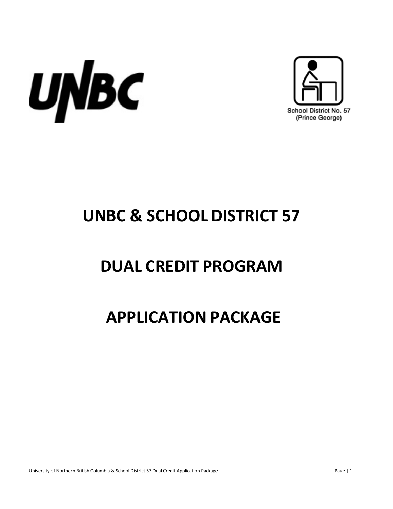



# **UNBC & SCHOOL DISTRICT 57**

## **DUAL CREDIT PROGRAM**

## **APPLICATION PACKAGE**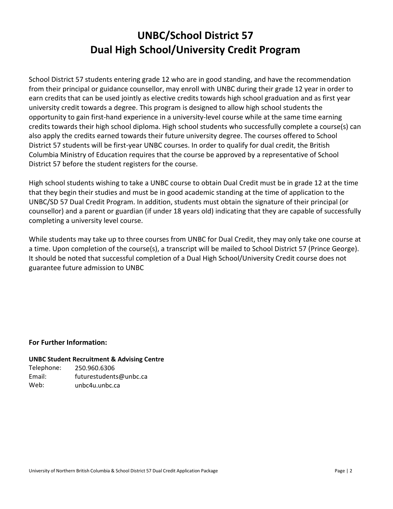## **UNBC/School District 57 Dual High School/University Credit Program**

School District 57 students entering grade 12 who are in good standing, and have the recommendation from their principal or guidance counsellor, may enroll with UNBC during their grade 12 year in order to earn credits that can be used jointly as elective credits towards high school graduation and as first year university credit towards a degree. This program is designed to allow high school students the opportunity to gain first-hand experience in a university-level course while at the same time earning credits towards their high school diploma. High school students who successfully complete a course(s) can also apply the credits earned towards their future university degree. The courses offered to School District 57 students will be first-year UNBC courses. In order to qualify for dual credit, the British Columbia Ministry of Education requires that the course be approved by a representative of School District 57 before the student registers for the course.

High school students wishing to take a UNBC course to obtain Dual Credit must be in grade 12 at the time that they begin their studies and must be in good academic standing at the time of application to the UNBC/SD 57 Dual Credit Program. In addition, students must obtain the signature of their principal (or counsellor) and a parent or guardian (if under 18 years old) indicating that they are capable of successfully completing a university level course.

While students may take up to three courses from UNBC for Dual Credit, they may only take one course at a time. Upon completion of the course(s), a transcript will be mailed to School District 57 (Prince George). It should be noted that successful completion of a Dual High School/University Credit course does not guarantee future admission to UNBC

#### **For Further Information:**

#### **UNBC Student Recruitment & Advising Centre**

Telephone: Email: Web: 250.960.6306 futurestudents@unbc.ca unbc4u.unbc.ca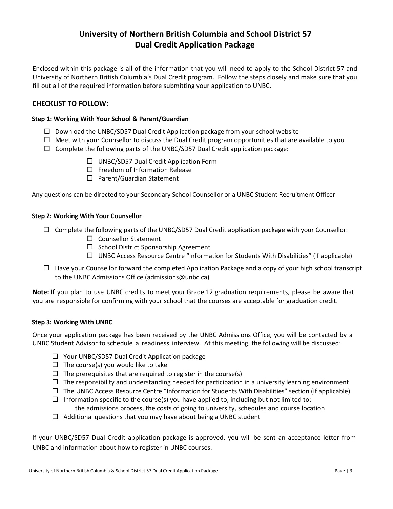### **University of Northern British Columbia and School District 57 Dual Credit Application Package**

Enclosed within this package is all of the information that you will need to apply to the School District 57 and University of Northern British Columbia's Dual Credit program. Follow the steps closely and make sure that you fill out all of the required information before submitting your application to UNBC.

#### **CHECKLIST TO FOLLOW:**

#### **Step 1: Working With Your School & Parent/Guardian**

- $\Box$  Download the UNBC/SD57 Dual Credit Application package from your school website
- $\Box$  Meet with your Counsellor to discuss the Dual Credit program opportunities that are available to you
- $\Box$  Complete the following parts of the UNBC/SD57 Dual Credit application package:
	- $\Box$  UNBC/SD57 Dual Credit Application Form
	- $\Box$  Freedom of Information Release
	- □ Parent/Guardian Statement

Any questions can be directed to your Secondary School Counsellor or a UNBC Student Recruitment Officer

#### **Step 2: Working With Your Counsellor**

- $\Box$  Complete the following parts of the UNBC/SD57 Dual Credit application package with your Counsellor:
	- $\square$  Counsellor Statement
	- $\square$  School District Sponsorship Agreement
	- $\Box$  UNBC Access Resource Centre "Information for Students With Disabilities" (if applicable)
- $\Box$  Have your Counsellor forward the completed Application Package and a copy of your high school transcript to the UNBC Admissions Office (admissions@unbc.ca)

**Note:** If you plan to use UNBC credits to meet your Grade 12 graduation requirements, please be aware that you are responsible for confirming with your school that the courses are acceptable for graduation credit.

#### **Step 3: Working With UNBC**

Once your application package has been received by the UNBC Admissions Office, you will be contacted by a UNBC Student Advisor to schedule a readiness interview. At this meeting, the following will be discussed:

- □ Your UNBC/SD57 Dual Credit Application package
- $\Box$  The course(s) you would like to take
- $\Box$  The prerequisites that are required to register in the course(s)
- $\Box$  The responsibility and understanding needed for participation in a university learning environment
- $\Box$  The UNBC Access Resource Centre "Information for Students With Disabilities" section (if applicable)
- $\Box$  Information specific to the course(s) you have applied to, including but not limited to:
- the admissions process, the costs of going to university, schedules and course location  $\Box$  Additional questions that you may have about being a UNBC student

If your UNBC/SD57 Dual Credit application package is approved, you will be sent an acceptance letter from UNBC and information about how to register in UNBC courses.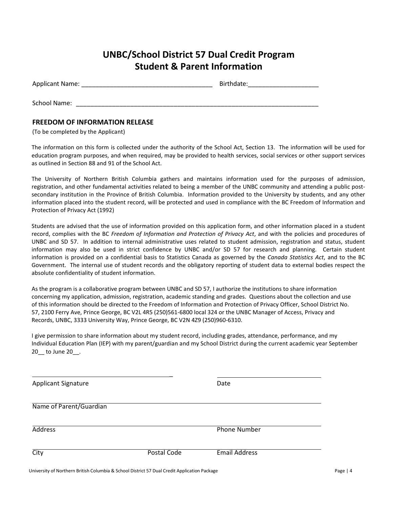### **UNBC/School District 57 Dual Credit Program Student & Parent Information**

| Applicant Name: | Birthdate: |
|-----------------|------------|
|                 |            |
| School Name:    |            |

#### **FREEDOM OF INFORMATION RELEASE**

(To be completed by the Applicant)

The information on this form is collected under the authority of the School Act, Section 13. The information will be used for education program purposes, and when required, may be provided to health services, social services or other support services as outlined in Section 88 and 91 of the School Act.

The University of Northern British Columbia gathers and maintains information used for the purposes of admission, registration, and other fundamental activities related to being a member of the UNBC community and attending a public postsecondary institution in the Province of British Columbia. Information provided to the University by students, and any other information placed into the student record, will be protected and used in compliance with the BC Freedom of Information and Protection of Privacy Act (1992)

Students are advised that the use of information provided on this application form, and other information placed in a student record, complies with the BC *Freedom of Information and Protection of Privacy Act*, and with the policies and procedures of UNBC and SD 57. In addition to internal administrative uses related to student admission, registration and status, student information may also be used in strict confidence by UNBC and/or SD 57 for research and planning. Certain student information is provided on a confidential basis to Statistics Canada as governed by the *Canada Statistics Act*, and to the BC Government. The internal use of student records and the obligatory reporting of student data to external bodies respect the absolute confidentiality of student information.

As the program is a collaborative program between UNBC and SD 57, I authorize the institutions to share information concerning my application, admission, registration, academic standing and grades. Questions about the collection and use of this information should be directed to the Freedom of Information and Protection of Privacy Officer, School District No. 57, 2100 Ferry Ave, Prince George, BC V2L 4R5 (250)561-6800 local 324 or the UNBC Manager of Access, Privacy and Records, UNBC, 3333 University Way, Prince George, BC V2N 4Z9 (250)960-6310.

I give permission to share information about my student record, including grades, attendance, performance, and my Individual Education Plan (IEP) with my parent/guardian and my School District during the current academic year September 20 to June 20 .

 $\overline{a}$ Applicant Signature Date Date Name of Parent/Guardian Address Phone Number City Postal Code Email Address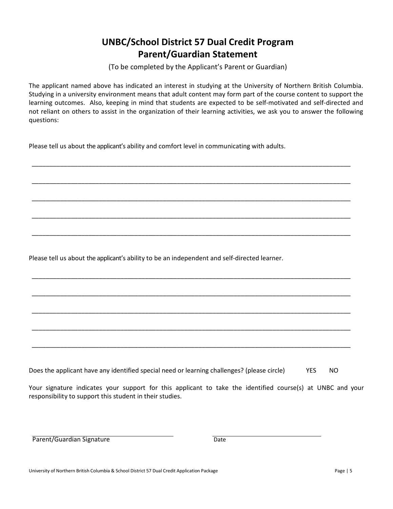## **UNBC/School District 57 Dual Credit Program Parent/Guardian Statement**

(To be completed by the Applicant's Parent or Guardian)

The applicant named above has indicated an interest in studying at the University of Northern British Columbia. Studying in a university environment means that adult content may form part of the course content to support the learning outcomes. Also, keeping in mind that students are expected to be self-motivated and self-directed and not reliant on others to assist in the organization of their learning activities, we ask you to answer the following questions:

\_\_\_\_\_\_\_\_\_\_\_\_\_\_\_\_\_\_\_\_\_\_\_\_\_\_\_\_\_\_\_\_\_\_\_\_\_\_\_\_\_\_\_\_\_\_\_\_\_\_\_\_\_\_\_\_\_\_\_\_\_\_\_\_\_\_\_\_\_\_\_\_\_\_\_\_\_\_\_\_\_\_\_\_\_\_\_\_\_\_

\_\_\_\_\_\_\_\_\_\_\_\_\_\_\_\_\_\_\_\_\_\_\_\_\_\_\_\_\_\_\_\_\_\_\_\_\_\_\_\_\_\_\_\_\_\_\_\_\_\_\_\_\_\_\_\_\_\_\_\_\_\_\_\_\_\_\_\_\_\_\_\_\_\_\_\_\_\_\_\_\_\_\_\_\_\_\_\_\_\_

\_\_\_\_\_\_\_\_\_\_\_\_\_\_\_\_\_\_\_\_\_\_\_\_\_\_\_\_\_\_\_\_\_\_\_\_\_\_\_\_\_\_\_\_\_\_\_\_\_\_\_\_\_\_\_\_\_\_\_\_\_\_\_\_\_\_\_\_\_\_\_\_\_\_\_\_\_\_\_\_\_\_\_\_\_\_\_\_\_\_

\_\_\_\_\_\_\_\_\_\_\_\_\_\_\_\_\_\_\_\_\_\_\_\_\_\_\_\_\_\_\_\_\_\_\_\_\_\_\_\_\_\_\_\_\_\_\_\_\_\_\_\_\_\_\_\_\_\_\_\_\_\_\_\_\_\_\_\_\_\_\_\_\_\_\_\_\_\_\_\_\_\_\_\_\_\_\_\_\_\_

\_\_\_\_\_\_\_\_\_\_\_\_\_\_\_\_\_\_\_\_\_\_\_\_\_\_\_\_\_\_\_\_\_\_\_\_\_\_\_\_\_\_\_\_\_\_\_\_\_\_\_\_\_\_\_\_\_\_\_\_\_\_\_\_\_\_\_\_\_\_\_\_\_\_\_\_\_\_\_\_\_\_\_\_\_\_\_\_\_\_

\_\_\_\_\_\_\_\_\_\_\_\_\_\_\_\_\_\_\_\_\_\_\_\_\_\_\_\_\_\_\_\_\_\_\_\_\_\_\_\_\_\_\_\_\_\_\_\_\_\_\_\_\_\_\_\_\_\_\_\_\_\_\_\_\_\_\_\_\_\_\_\_\_\_\_\_\_\_\_\_\_\_\_\_\_\_\_\_\_\_

\_\_\_\_\_\_\_\_\_\_\_\_\_\_\_\_\_\_\_\_\_\_\_\_\_\_\_\_\_\_\_\_\_\_\_\_\_\_\_\_\_\_\_\_\_\_\_\_\_\_\_\_\_\_\_\_\_\_\_\_\_\_\_\_\_\_\_\_\_\_\_\_\_\_\_\_\_\_\_\_\_\_\_\_\_\_\_\_\_\_

\_\_\_\_\_\_\_\_\_\_\_\_\_\_\_\_\_\_\_\_\_\_\_\_\_\_\_\_\_\_\_\_\_\_\_\_\_\_\_\_\_\_\_\_\_\_\_\_\_\_\_\_\_\_\_\_\_\_\_\_\_\_\_\_\_\_\_\_\_\_\_\_\_\_\_\_\_\_\_\_\_\_\_\_\_\_\_\_\_\_

\_\_\_\_\_\_\_\_\_\_\_\_\_\_\_\_\_\_\_\_\_\_\_\_\_\_\_\_\_\_\_\_\_\_\_\_\_\_\_\_\_\_\_\_\_\_\_\_\_\_\_\_\_\_\_\_\_\_\_\_\_\_\_\_\_\_\_\_\_\_\_\_\_\_\_\_\_\_\_\_\_\_\_\_\_\_\_\_\_\_

\_\_\_\_\_\_\_\_\_\_\_\_\_\_\_\_\_\_\_\_\_\_\_\_\_\_\_\_\_\_\_\_\_\_\_\_\_\_\_\_\_\_\_\_\_\_\_\_\_\_\_\_\_\_\_\_\_\_\_\_\_\_\_\_\_\_\_\_\_\_\_\_\_\_\_\_\_\_\_\_\_\_\_\_\_\_\_\_\_\_

Please tell us about the applicant's ability and comfort level in communicating with adults.

Please tell us about the applicant's ability to be an independent and self-directed learner.

Does the applicant have any identified special need or learning challenges? (please circle) YES NO

Your signature indicates your support for this applicant to take the identified course(s) at UNBC and your responsibility to support this student in their studies.

Parent/Guardian Signature Date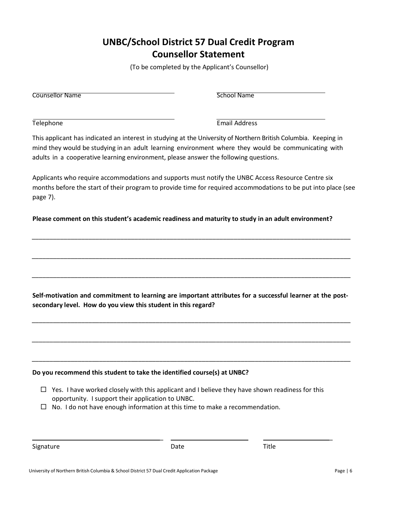## **UNBC/School District 57 Dual Credit Program Counsellor Statement**

(To be completed by the Applicant's Counsellor)

**Counsellor Name** School Name

Telephone Email Address

This applicant has indicated an interest in studying at the University of Northern British Columbia. Keeping in mind they would be studying in an adult learning environment where they would be communicating with adults in a cooperative learning environment, please answer the following questions.

Applicants who require accommodations and supports must notify the UNBC Access Resource Centre six months before the start of their program to provide time for required accommodations to be put into place (see page 7).

**Please comment on this student's academic readiness and maturity to study in an adult environment?**

\_\_\_\_\_\_\_\_\_\_\_\_\_\_\_\_\_\_\_\_\_\_\_\_\_\_\_\_\_\_\_\_\_\_\_\_\_\_\_\_\_\_\_\_\_\_\_\_\_\_\_\_\_\_\_\_\_\_\_\_\_\_\_\_\_\_\_\_\_\_\_\_\_\_\_\_\_\_\_\_\_\_\_\_\_\_\_\_\_\_

\_\_\_\_\_\_\_\_\_\_\_\_\_\_\_\_\_\_\_\_\_\_\_\_\_\_\_\_\_\_\_\_\_\_\_\_\_\_\_\_\_\_\_\_\_\_\_\_\_\_\_\_\_\_\_\_\_\_\_\_\_\_\_\_\_\_\_\_\_\_\_\_\_\_\_\_\_\_\_\_\_\_\_\_\_\_\_\_\_\_

\_\_\_\_\_\_\_\_\_\_\_\_\_\_\_\_\_\_\_\_\_\_\_\_\_\_\_\_\_\_\_\_\_\_\_\_\_\_\_\_\_\_\_\_\_\_\_\_\_\_\_\_\_\_\_\_\_\_\_\_\_\_\_\_\_\_\_\_\_\_\_\_\_\_\_\_\_\_\_\_\_\_\_\_\_\_\_\_\_\_

**Self-motivation and commitment to learning are important attributes for a successful learner at the postsecondary level. How do you view this student in this regard?**

\_\_\_\_\_\_\_\_\_\_\_\_\_\_\_\_\_\_\_\_\_\_\_\_\_\_\_\_\_\_\_\_\_\_\_\_\_\_\_\_\_\_\_\_\_\_\_\_\_\_\_\_\_\_\_\_\_\_\_\_\_\_\_\_\_\_\_\_\_\_\_\_\_\_\_\_\_\_\_\_\_\_\_\_\_\_\_\_\_\_

\_\_\_\_\_\_\_\_\_\_\_\_\_\_\_\_\_\_\_\_\_\_\_\_\_\_\_\_\_\_\_\_\_\_\_\_\_\_\_\_\_\_\_\_\_\_\_\_\_\_\_\_\_\_\_\_\_\_\_\_\_\_\_\_\_\_\_\_\_\_\_\_\_\_\_\_\_\_\_\_\_\_\_\_\_\_\_\_\_\_

\_\_\_\_\_\_\_\_\_\_\_\_\_\_\_\_\_\_\_\_\_\_\_\_\_\_\_\_\_\_\_\_\_\_\_\_\_\_\_\_\_\_\_\_\_\_\_\_\_\_\_\_\_\_\_\_\_\_\_\_\_\_\_\_\_\_\_\_\_\_\_\_\_\_\_\_\_\_\_\_\_\_\_\_\_\_\_\_\_\_

**Do you recommend this student to take the identified course(s) at UNBC?** 

- $\Box$  Yes. I have worked closely with this applicant and I believe they have shown readiness for this opportunity. I support their application to UNBC.
- $\Box$  No. I do not have enough information at this time to make a recommendation.

| Signature | Date | Title |
|-----------|------|-------|
|           |      |       |

\_ \_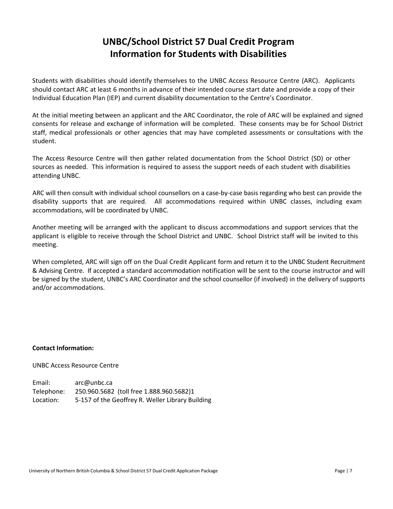## **UNBC/School District 57 Dual Credit Program Information for Students with Disabilities**

Students with disabilities should identify themselves to the UNBC Access Resource Centre (ARC). Applicants should contact ARC at least 6 months in advance of their intended course start date and provide a copy of their Individual Education Plan (IEP) and current disability documentation to the Centre's Coordinator.

At the initial meeting between an applicant and the ARC Coordinator, the role of ARC will be explained and signed consents for release and exchange of information will be completed. These consents may be for School District staff, medical professionals or other agencies that may have completed assessments or consultations with the student.

The Access Resource Centre will then gather related documentation from the School District (SD) or other sources as needed. This information is required to assess the support needs of each student with disabilities attending UNBC.

ARC will then consult with individual school counsellors on a case-by-case basis regarding who best can provide the disability supports that are required. All accommodations required within UNBC classes, including exam accommodations, will be coordinated by UNBC.

Another meeting will be arranged with the applicant to discuss accommodations and support services that the applicant is eligible to receive through the School District and UNBC. School District staff will be invited to this meeting.

When completed, ARC will sign off on the Dual Credit Applicant form and return it to the UNBC Student Recruitment & Advising Centre. If accepted a standard accommodation notification will be sent to the course instructor and will be signed by the student, UNBC's ARC Coordinator and the school counsellor (if involved) in the delivery of supports and/or accommodations.

#### **Contact Information:**

UNBC Access Resource Centre

| Email:     | arc@unbc.ca                                      |
|------------|--------------------------------------------------|
| Telephone: | 250.960.5682 (toll free 1.888.960.5682)1         |
| Location:  | 5-157 of the Geoffrey R. Weller Library Building |